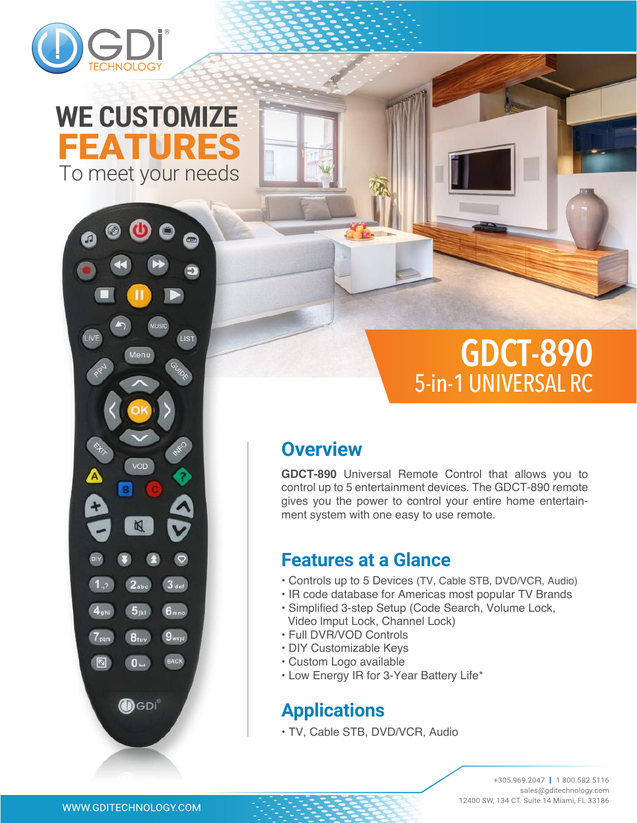

# To meet your needs FEATURES **WE CUSTOMIZE**



# **GDCT-890** 5-in-1 UNIVERSAL RC

### **Overview**

**GDCT-890** Universal Remote Control that allows you to control up to 5 entertainment devices. The GDCT-890 remote gives you the power to control your entire home entertainment system with one easy to use remote.

### **Features at a Glance**

- Controls up to 5 Devices (TV, Cable STB, DVD/VCR, Audio)
- IR code database for Americas most popular TV Brands
- Simplified 3-step Setup (Code Search, Volume Lock, Video lmput Lock, Channel Lock)
- Full DVR/VOD Controls
- DIY Customizable Keys
- Custom Logo available
- Low Energy IR for 3-Year Battery Life\*

## **Applications**

• TV, Cable STB, DVD/VCR, Audio